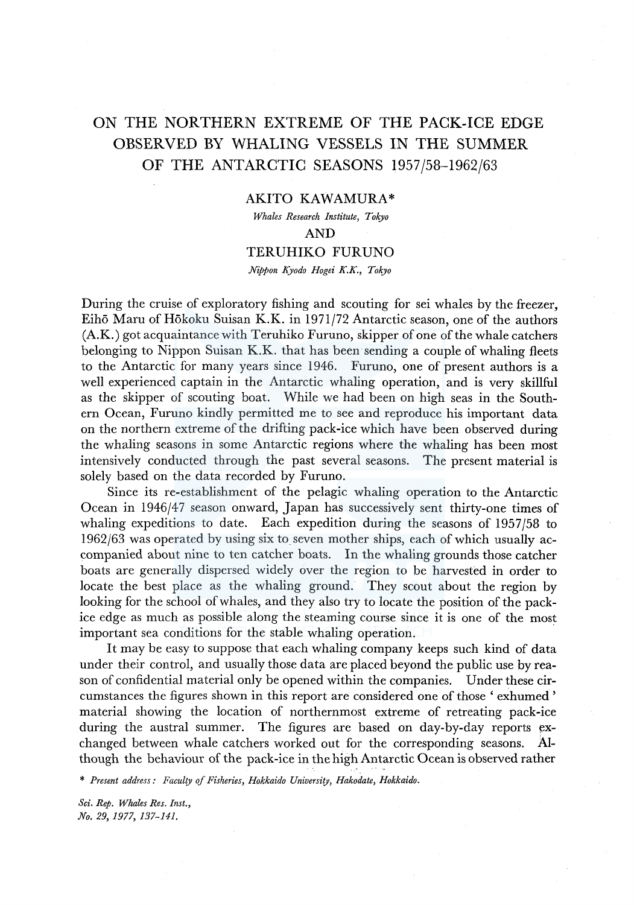# ON THE NORTHERN EXTREME OF THE PACK-ICE EDGE OBSERVED BY WHALING VESSELS IN THE SUMMER OF THE ANTARCTIC SEASONS 1957/58-1962/63

# AKITO KAWAMURA\*

*Whales Research Institute, Tokyo*  AND

## TERUHIKO FURUNO

### *Nippon Kyodo Hogei K.K., Tokyo*

During the cruise of exploratory fishing and scouting for sei whales by the freezer, Eiho Maru of Hokoku Suisan K.K. in 1971/72 Antarctic season, one of the authors (A.K.) got acquaintance with Teruhiko Furuno, skipper of one of the whale catchers belonging to Nippon Suisan K.K. that has been sending a couple of whaling fleets to the Antarctic for many years since 1946. Furuno, one of present authors is a well experienced captain in the Antarctic whaling operation, and is very skillful as the skipper of scouting boat. While we had been on high seas in the Southern Ocean, Furuno kindly permitted me to see and reproduce his important data on the northern extreme of the drifting pack-ice which have been observed during the whaling seasons in some Antarctic regions where the whaling has been most intensively conducted through the past several seasons. The present material is solely based on the data recorded by Furuno.

Since its re-establishment of the pelagic whaling operation to the Antarctic Ocean in 1946/47 season onward, Japan has successively sent thirty-one times of whaling expeditions to date. Each expedition during the seasons of 1957/58 to 1962/63 was operated by using six to seven mother ships, each of which usually accompanied about nine to ten catcher boats. In the whaling grounds those catcher boats are generally dispersed widely over the region to be harvested in order to locate the best place as the whaling ground. They scout about the region by looking for the school of whales, and they also try to locate the position of the packice edge as much as possible along the steaming course since it is one of the most important sea conditions for the stable whaling operation.

It may be easy to suppose that each whaling company keeps such kind of data under their control, and usually those data are placed beyond the public use by reason of confidential material only be opened within the companies. Under these circumstances the figures shown in this report are considered one of those ' exhumed ' material showing the location of northernmost extreme of retreating pack-ice during the austral summer. The figures are based on day-by-day reports exchanged between whale catchers worked out for the corresponding seasons. Although the behaviour of the pack-ice in the high Antarctic Ocean is observed rather

\* *Present address: Faculty of Fisheries, Hokkaido University, Hakodate, Hokkaido.*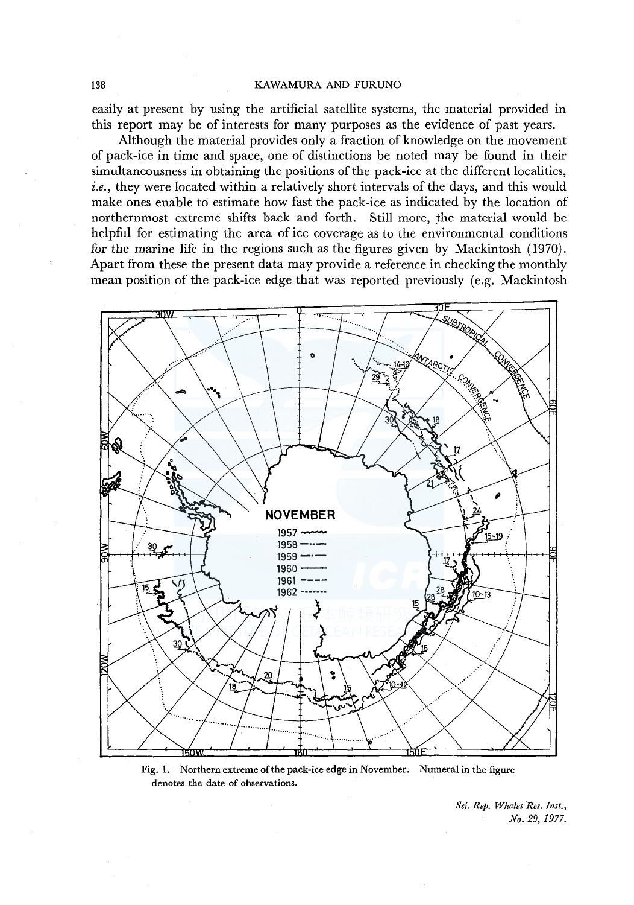#### 138 KAWAMURA AND FURUNO

easily at present by using the artificial satellite systems, the material provided in this report may be of interests for many purposes as the evidence of past years.

Although the material provides only a fraction of knowledge on the movement of pack-ice in time and space, one of distinctions be noted may be found in their simultaneousness in obtaining the positions of the pack-ice at the different localities, *i.e.,* they were located within a relatively short intervals of the days, and this would make ones enable to estimate how fast the pack-ice as indicated by the location of northernmost extreme shifts back and forth. Still more, the material would be helpful for estimating the area of ice coverage as to the environmental conditions for the marine life in the regions such as the figures given by Mackintosh (1970). Apart from these the present data may provide a reference in checking the monthly mean position of the pack-ice edge that was reported previously (e.g. Mackintosh



Fig. 1. Northern extreme of the pack-ice edge in November. Numeral in the figure denotes the date of observations.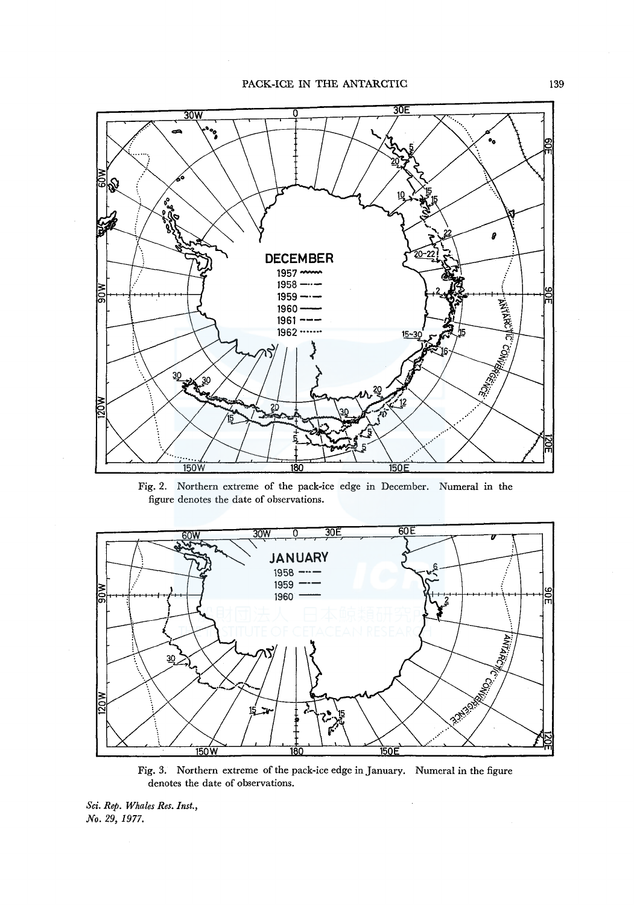

Fig. 2. Northern extreme of the pack-ice edge in December. Numeral in the figure denotes the date of observations.



Fig. 3. Northern extreme of the pack-ice edge in January. Numeral in the figure denotes the date of observations.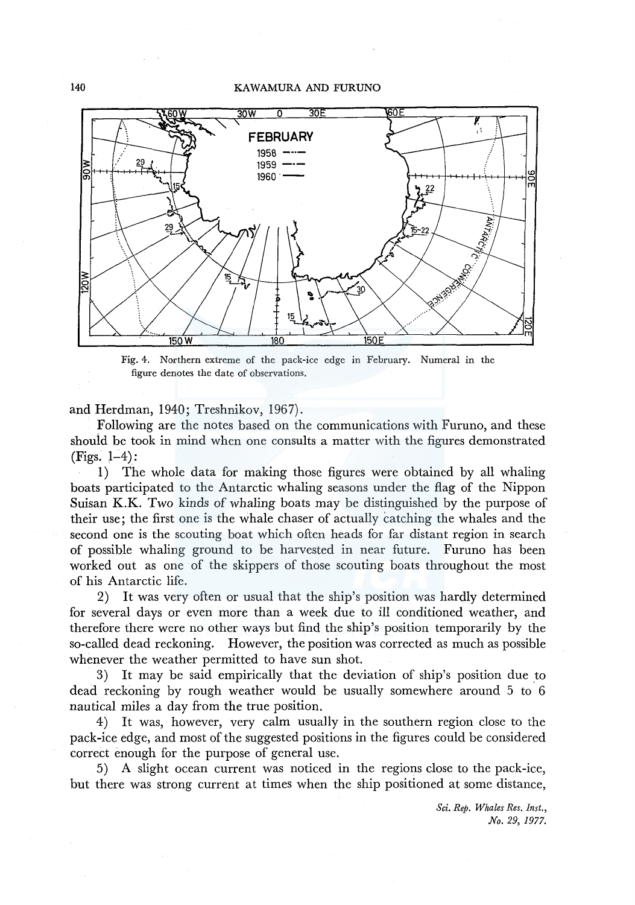## 140 KAWAMURA AND FURUNO



Fig. 4. Northern extreme of the pack·ice edge in February. Numeral in the figure denotes the date of observations.

and Herdman, 1940; Treshnikov, 1967).

Following are the notes based on the communications with Furuno, and these should be took in mind when one consults a matter with the figures demonstrated (Figs. 1-4):

1) The whole data for making those figures were obtained by all whaling boats participated to the Antarctic whaling seasons under the flag of the Nippon Suisan K.K. Two kinds of whaling boats may be distinguished by the purpose of their use; the first one is the whale chaser of actually catching the whales and the second one is the scouting boat which often heads for far distant region in search of possible whaling ground to be harvested in near future. Furuno has been worked out as one of the skippers of those scouting boats throughout the most of his Antarctic life.

2) It was very often or usual that the ship's position was hardly determined for several days or even more than a week due to ill conditioned weather, and therefore there were no other ways but find the ship's position temporarily by the so-called dead reckoning. However, the position was corrected as much as possible whenever the weather permitted to have sun shot.

3) It may be said empirically that the deviation of ship's position due to dead reckoning by rough weather would be usually somewhere around 5 to 6 nautical miles a day from the true position.

4) It was, however, very calm usually in the southern region close to the pack-ice edge, and most of the suggested positions in the figures could be considered correct enough for the purpose of general use.

5) A slight ocean current was noticed in the regions close to the pack-ice, but there was strong current at times when the ship positioned at some distance,